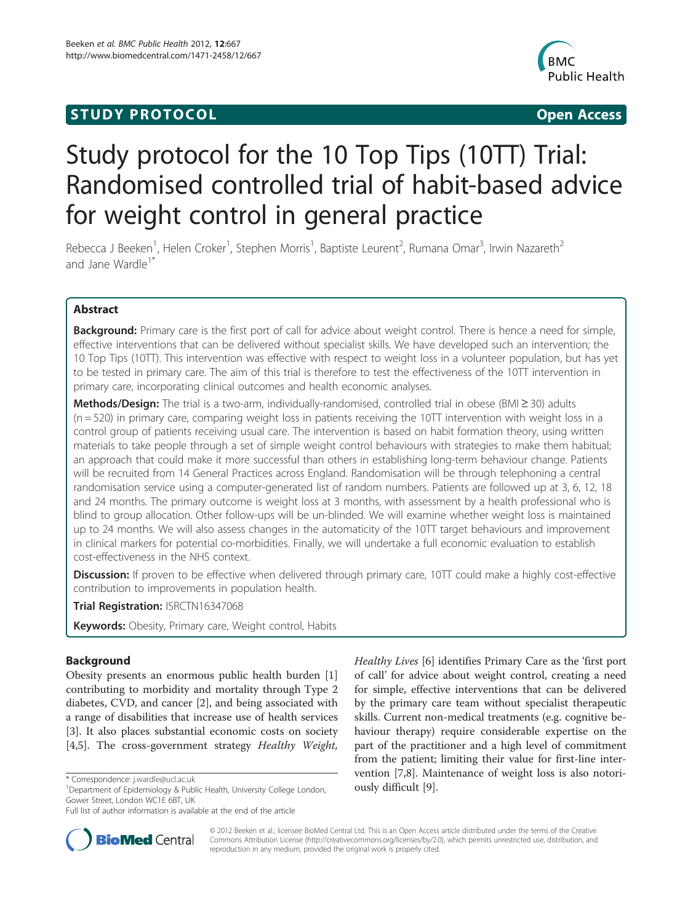# **STUDY PROTOCOL CONSUMING THE CONSUMING OPEN ACCESS**



# Study protocol for the 10 Top Tips (10TT) Trial: Randomised controlled trial of habit-based advice for weight control in general practice

Rebecca J Beeken<sup>1</sup>, Helen Croker<sup>1</sup>, Stephen Morris<sup>1</sup>, Baptiste Leurent<sup>2</sup>, Rumana Omar<sup>3</sup>, Irwin Nazareth<sup>2</sup> and Jane Wardle<sup>1\*</sup>

# Abstract

Background: Primary care is the first port of call for advice about weight control. There is hence a need for simple, effective interventions that can be delivered without specialist skills. We have developed such an intervention; the 10 Top Tips (10TT). This intervention was effective with respect to weight loss in a volunteer population, but has yet to be tested in primary care. The aim of this trial is therefore to test the effectiveness of the 10TT intervention in primary care, incorporating clinical outcomes and health economic analyses.

Methods/Design: The trial is a two-arm, individually-randomised, controlled trial in obese (BMI ≥ 30) adults  $(n = 520)$  in primary care, comparing weight loss in patients receiving the 10TT intervention with weight loss in a control group of patients receiving usual care. The intervention is based on habit formation theory, using written materials to take people through a set of simple weight control behaviours with strategies to make them habitual; an approach that could make it more successful than others in establishing long-term behaviour change. Patients will be recruited from 14 General Practices across England. Randomisation will be through telephoning a central randomisation service using a computer-generated list of random numbers. Patients are followed up at 3, 6, 12, 18 and 24 months. The primary outcome is weight loss at 3 months, with assessment by a health professional who is blind to group allocation. Other follow-ups will be un-blinded. We will examine whether weight loss is maintained up to 24 months. We will also assess changes in the automaticity of the 10TT target behaviours and improvement in clinical markers for potential co-morbidities. Finally, we will undertake a full economic evaluation to establish cost-effectiveness in the NHS context.

Discussion: If proven to be effective when delivered through primary care, 10TT could make a highly cost-effective contribution to improvements in population health.

Trial Registration: ISRCTN16347068

Keywords: Obesity, Primary care, Weight control, Habits

# Background

Obesity presents an enormous public health burden [\[1](#page-8-0)] contributing to morbidity and mortality through Type 2 diabetes, CVD, and cancer [[2\]](#page-8-0), and being associated with a range of disabilities that increase use of health services [[3\]](#page-8-0). It also places substantial economic costs on society [[4,5\]](#page-8-0). The cross-government strategy Healthy Weight,

Healthy Lives [[6\]](#page-8-0) identifies Primary Care as the 'first port of call' for advice about weight control, creating a need for simple, effective interventions that can be delivered by the primary care team without specialist therapeutic skills. Current non-medical treatments (e.g. cognitive behaviour therapy) require considerable expertise on the part of the practitioner and a high level of commitment from the patient; limiting their value for first-line intervention [\[7,8](#page-8-0)]. Maintenance of weight loss is also notori-



© 2012 Beeken et al.; licensee BioMed Central Ltd. This is an Open Access article distributed under the terms of the Creative Commons Attribution License [\(http://creativecommons.org/licenses/by/2.0\)](http://creativecommons.org/licenses/by/2.0), which permits unrestricted use, distribution, and reproduction in any medium, provided the original work is properly cited.

<sup>\*</sup> Correspondence: [j.wardle@ucl.ac.uk](mailto:j.wardle@ucl.ac.uk)<br><sup>1</sup>Department of Epidemiology & Public Health, University College London, **busly difficult [\[9](#page-8-0)]** Gower Street, London WC1E 6BT, UK

Full list of author information is available at the end of the article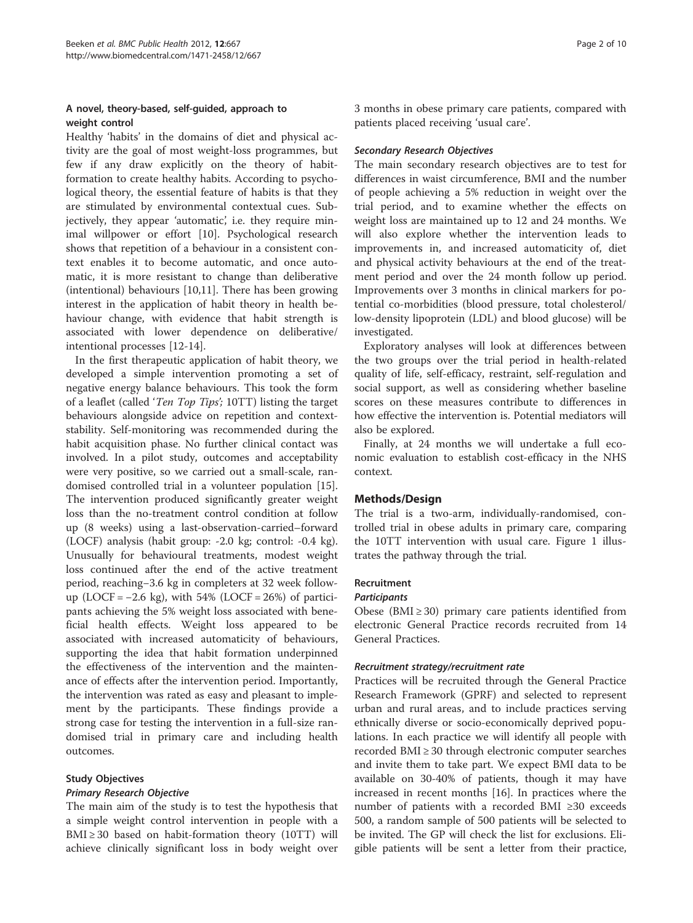# A novel, theory-based, self-guided, approach to weight control

Healthy 'habits' in the domains of diet and physical activity are the goal of most weight-loss programmes, but few if any draw explicitly on the theory of habitformation to create healthy habits. According to psychological theory, the essential feature of habits is that they are stimulated by environmental contextual cues. Subjectively, they appear 'automatic', i.e. they require minimal willpower or effort [[10\]](#page-8-0). Psychological research shows that repetition of a behaviour in a consistent context enables it to become automatic, and once automatic, it is more resistant to change than deliberative (intentional) behaviours [[10,11](#page-8-0)]. There has been growing interest in the application of habit theory in health behaviour change, with evidence that habit strength is associated with lower dependence on deliberative/ intentional processes [\[12](#page-9-0)-[14\]](#page-9-0).

In the first therapeutic application of habit theory, we developed a simple intervention promoting a set of negative energy balance behaviours. This took the form of a leaflet (called 'Ten Top Tips'; 10TT) listing the target behaviours alongside advice on repetition and contextstability. Self-monitoring was recommended during the habit acquisition phase. No further clinical contact was involved. In a pilot study, outcomes and acceptability were very positive, so we carried out a small-scale, randomised controlled trial in a volunteer population [\[15](#page-9-0)]. The intervention produced significantly greater weight loss than the no-treatment control condition at follow up (8 weeks) using a last-observation-carried–forward (LOCF) analysis (habit group: -2.0 kg; control: -0.4 kg). Unusually for behavioural treatments, modest weight loss continued after the end of the active treatment period, reaching−3.6 kg in completers at 32 week followup (LOCF =  $-2.6$  kg), with 54% (LOCF = 26%) of participants achieving the 5% weight loss associated with beneficial health effects. Weight loss appeared to be associated with increased automaticity of behaviours, supporting the idea that habit formation underpinned the effectiveness of the intervention and the maintenance of effects after the intervention period. Importantly, the intervention was rated as easy and pleasant to implement by the participants. These findings provide a strong case for testing the intervention in a full-size randomised trial in primary care and including health outcomes.

# Study Objectives

# Primary Research Objective

The main aim of the study is to test the hypothesis that a simple weight control intervention in people with a  $BMI \geq 30$  based on habit-formation theory (10TT) will achieve clinically significant loss in body weight over 3 months in obese primary care patients, compared with patients placed receiving 'usual care'.

# Secondary Research Objectives

The main secondary research objectives are to test for differences in waist circumference, BMI and the number of people achieving a 5% reduction in weight over the trial period, and to examine whether the effects on weight loss are maintained up to 12 and 24 months. We will also explore whether the intervention leads to improvements in, and increased automaticity of, diet and physical activity behaviours at the end of the treatment period and over the 24 month follow up period. Improvements over 3 months in clinical markers for potential co-morbidities (blood pressure, total cholesterol/ low-density lipoprotein (LDL) and blood glucose) will be investigated.

Exploratory analyses will look at differences between the two groups over the trial period in health-related quality of life, self-efficacy, restraint, self-regulation and social support, as well as considering whether baseline scores on these measures contribute to differences in how effective the intervention is. Potential mediators will also be explored.

Finally, at 24 months we will undertake a full economic evaluation to establish cost-efficacy in the NHS context.

# Methods/Design

The trial is a two-arm, individually-randomised, controlled trial in obese adults in primary care, comparing the 10TT intervention with usual care. Figure [1](#page-2-0) illustrates the pathway through the trial.

# Recruitment

#### **Participants**

Obese (BMI  $\geq$  30) primary care patients identified from electronic General Practice records recruited from 14 General Practices.

#### Recruitment strategy/recruitment rate

Practices will be recruited through the General Practice Research Framework (GPRF) and selected to represent urban and rural areas, and to include practices serving ethnically diverse or socio-economically deprived populations. In each practice we will identify all people with recorded BMI ≥ 30 through electronic computer searches and invite them to take part. We expect BMI data to be available on 30-40% of patients, though it may have increased in recent months [[16\]](#page-9-0). In practices where the number of patients with a recorded BMI ≥30 exceeds 500, a random sample of 500 patients will be selected to be invited. The GP will check the list for exclusions. Eligible patients will be sent a letter from their practice,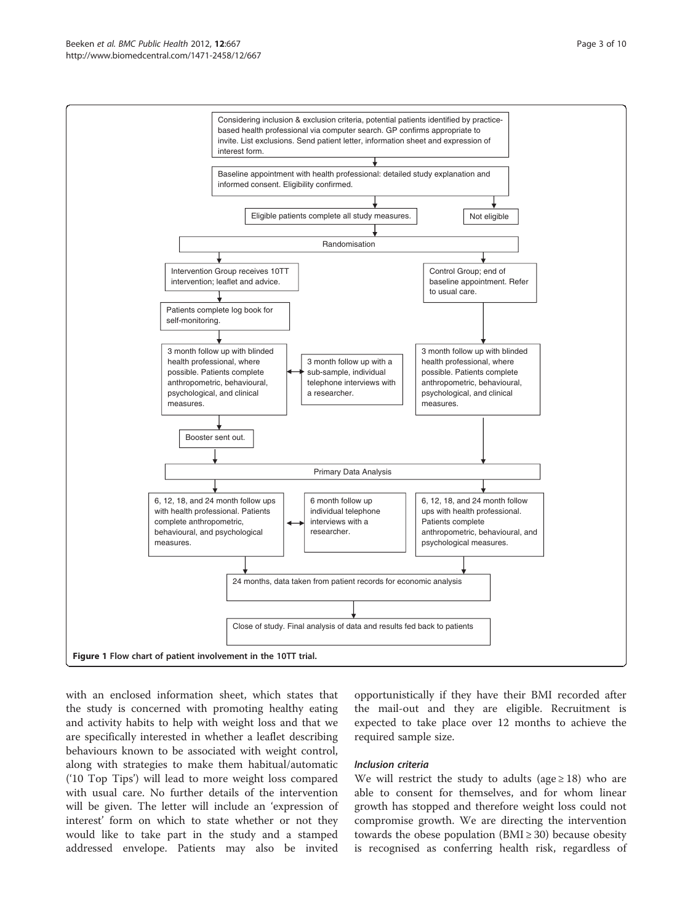<span id="page-2-0"></span>

with an enclosed information sheet, which states that the study is concerned with promoting healthy eating and activity habits to help with weight loss and that we are specifically interested in whether a leaflet describing behaviours known to be associated with weight control, along with strategies to make them habitual/automatic ('10 Top Tips') will lead to more weight loss compared with usual care. No further details of the intervention will be given. The letter will include an 'expression of interest' form on which to state whether or not they would like to take part in the study and a stamped addressed envelope. Patients may also be invited

opportunistically if they have their BMI recorded after the mail-out and they are eligible. Recruitment is expected to take place over 12 months to achieve the required sample size.

#### Inclusion criteria

We will restrict the study to adults (age  $\geq$  18) who are able to consent for themselves, and for whom linear growth has stopped and therefore weight loss could not compromise growth. We are directing the intervention towards the obese population ( $BMI \geq 30$ ) because obesity is recognised as conferring health risk, regardless of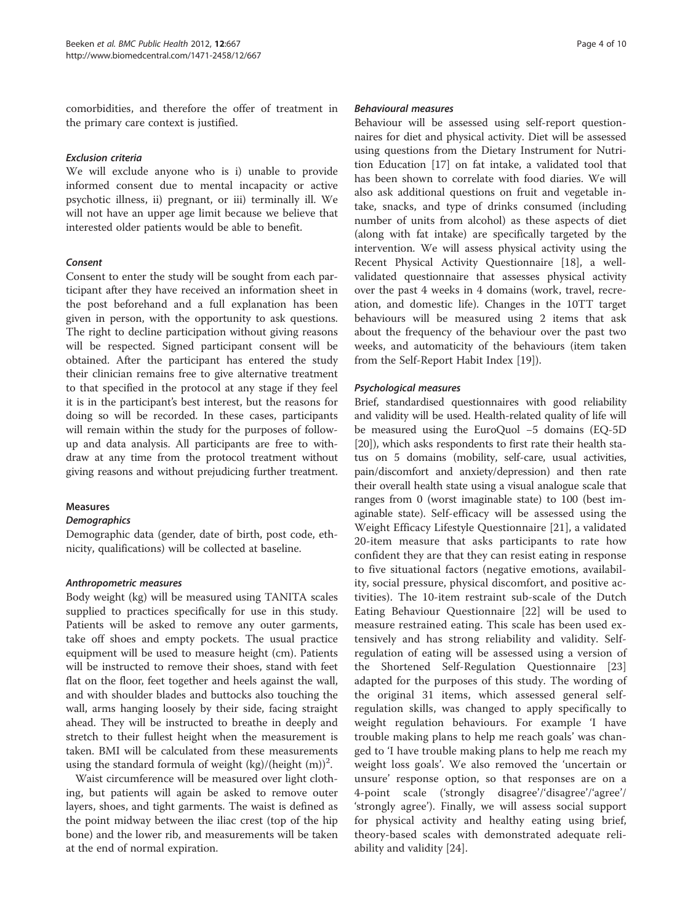comorbidities, and therefore the offer of treatment in the primary care context is justified.

#### Exclusion criteria

We will exclude anyone who is i) unable to provide informed consent due to mental incapacity or active psychotic illness, ii) pregnant, or iii) terminally ill. We will not have an upper age limit because we believe that interested older patients would be able to benefit.

#### Consent

Consent to enter the study will be sought from each participant after they have received an information sheet in the post beforehand and a full explanation has been given in person, with the opportunity to ask questions. The right to decline participation without giving reasons will be respected. Signed participant consent will be obtained. After the participant has entered the study their clinician remains free to give alternative treatment to that specified in the protocol at any stage if they feel it is in the participant's best interest, but the reasons for doing so will be recorded. In these cases, participants will remain within the study for the purposes of followup and data analysis. All participants are free to withdraw at any time from the protocol treatment without giving reasons and without prejudicing further treatment.

# Measures

#### **Demographics**

Demographic data (gender, date of birth, post code, ethnicity, qualifications) will be collected at baseline.

#### Anthropometric measures

Body weight (kg) will be measured using TANITA scales supplied to practices specifically for use in this study. Patients will be asked to remove any outer garments, take off shoes and empty pockets. The usual practice equipment will be used to measure height (cm). Patients will be instructed to remove their shoes, stand with feet flat on the floor, feet together and heels against the wall, and with shoulder blades and buttocks also touching the wall, arms hanging loosely by their side, facing straight ahead. They will be instructed to breathe in deeply and stretch to their fullest height when the measurement is taken. BMI will be calculated from these measurements using the standard formula of weight  $(kg)/(\hbar e i g h t$  (m))<sup>2</sup>.

Waist circumference will be measured over light clothing, but patients will again be asked to remove outer layers, shoes, and tight garments. The waist is defined as the point midway between the iliac crest (top of the hip bone) and the lower rib, and measurements will be taken at the end of normal expiration.

#### Behavioural measures

Behaviour will be assessed using self-report questionnaires for diet and physical activity. Diet will be assessed using questions from the Dietary Instrument for Nutrition Education [\[17\]](#page-9-0) on fat intake, a validated tool that has been shown to correlate with food diaries. We will also ask additional questions on fruit and vegetable intake, snacks, and type of drinks consumed (including number of units from alcohol) as these aspects of diet (along with fat intake) are specifically targeted by the intervention. We will assess physical activity using the Recent Physical Activity Questionnaire [\[18](#page-9-0)], a wellvalidated questionnaire that assesses physical activity over the past 4 weeks in 4 domains (work, travel, recreation, and domestic life). Changes in the 10TT target behaviours will be measured using 2 items that ask about the frequency of the behaviour over the past two weeks, and automaticity of the behaviours (item taken from the Self-Report Habit Index [\[19](#page-9-0)]).

# Psychological measures

Brief, standardised questionnaires with good reliability and validity will be used. Health-related quality of life will be measured using the EuroQuol −5 domains (EQ-5D [[20](#page-9-0)]), which asks respondents to first rate their health status on 5 domains (mobility, self-care, usual activities, pain/discomfort and anxiety/depression) and then rate their overall health state using a visual analogue scale that ranges from 0 (worst imaginable state) to 100 (best imaginable state). Self-efficacy will be assessed using the Weight Efficacy Lifestyle Questionnaire [[21\]](#page-9-0), a validated 20-item measure that asks participants to rate how confident they are that they can resist eating in response to five situational factors (negative emotions, availability, social pressure, physical discomfort, and positive activities). The 10-item restraint sub-scale of the Dutch Eating Behaviour Questionnaire [[22\]](#page-9-0) will be used to measure restrained eating. This scale has been used extensively and has strong reliability and validity. Selfregulation of eating will be assessed using a version of the Shortened Self-Regulation Questionnaire [\[23](#page-9-0)] adapted for the purposes of this study. The wording of the original 31 items, which assessed general selfregulation skills, was changed to apply specifically to weight regulation behaviours. For example 'I have trouble making plans to help me reach goals' was changed to 'I have trouble making plans to help me reach my weight loss goals'. We also removed the 'uncertain or unsure' response option, so that responses are on a 4-point scale ('strongly disagree'/'disagree'/'agree'/ 'strongly agree'). Finally, we will assess social support for physical activity and healthy eating using brief, theory-based scales with demonstrated adequate reliability and validity [[24\]](#page-9-0).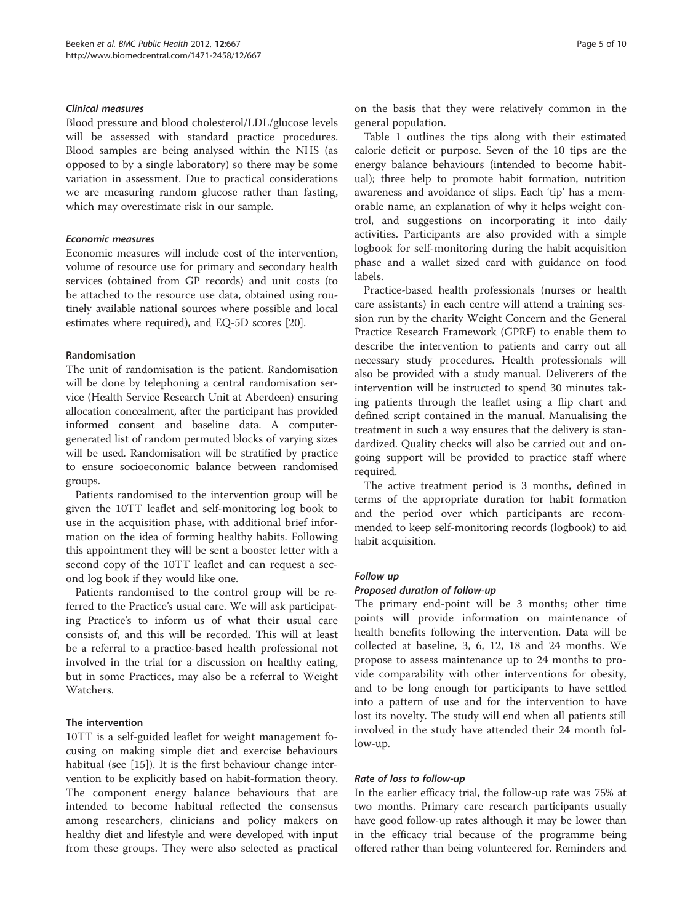#### Clinical measures

Blood pressure and blood cholesterol/LDL/glucose levels will be assessed with standard practice procedures. Blood samples are being analysed within the NHS (as opposed to by a single laboratory) so there may be some variation in assessment. Due to practical considerations we are measuring random glucose rather than fasting, which may overestimate risk in our sample.

#### Economic measures

Economic measures will include cost of the intervention, volume of resource use for primary and secondary health services (obtained from GP records) and unit costs (to be attached to the resource use data, obtained using routinely available national sources where possible and local estimates where required), and EQ-5D scores [\[20\]](#page-9-0).

# Randomisation

The unit of randomisation is the patient. Randomisation will be done by telephoning a central randomisation service (Health Service Research Unit at Aberdeen) ensuring allocation concealment, after the participant has provided informed consent and baseline data. A computergenerated list of random permuted blocks of varying sizes will be used. Randomisation will be stratified by practice to ensure socioeconomic balance between randomised groups.

Patients randomised to the intervention group will be given the 10TT leaflet and self-monitoring log book to use in the acquisition phase, with additional brief information on the idea of forming healthy habits. Following this appointment they will be sent a booster letter with a second copy of the 10TT leaflet and can request a second log book if they would like one.

Patients randomised to the control group will be referred to the Practice's usual care. We will ask participating Practice's to inform us of what their usual care consists of, and this will be recorded. This will at least be a referral to a practice-based health professional not involved in the trial for a discussion on healthy eating, but in some Practices, may also be a referral to Weight Watchers.

# The intervention

10TT is a self-guided leaflet for weight management focusing on making simple diet and exercise behaviours habitual (see [\[15](#page-9-0)]). It is the first behaviour change intervention to be explicitly based on habit-formation theory. The component energy balance behaviours that are intended to become habitual reflected the consensus among researchers, clinicians and policy makers on healthy diet and lifestyle and were developed with input from these groups. They were also selected as practical on the basis that they were relatively common in the general population.

Table [1](#page-5-0) outlines the tips along with their estimated calorie deficit or purpose. Seven of the 10 tips are the energy balance behaviours (intended to become habitual); three help to promote habit formation, nutrition awareness and avoidance of slips. Each 'tip' has a memorable name, an explanation of why it helps weight control, and suggestions on incorporating it into daily activities. Participants are also provided with a simple logbook for self-monitoring during the habit acquisition phase and a wallet sized card with guidance on food labels.

Practice-based health professionals (nurses or health care assistants) in each centre will attend a training session run by the charity Weight Concern and the General Practice Research Framework (GPRF) to enable them to describe the intervention to patients and carry out all necessary study procedures. Health professionals will also be provided with a study manual. Deliverers of the intervention will be instructed to spend 30 minutes taking patients through the leaflet using a flip chart and defined script contained in the manual. Manualising the treatment in such a way ensures that the delivery is standardized. Quality checks will also be carried out and ongoing support will be provided to practice staff where required.

The active treatment period is 3 months, defined in terms of the appropriate duration for habit formation and the period over which participants are recommended to keep self-monitoring records (logbook) to aid habit acquisition.

#### Follow up

#### Proposed duration of follow-up

The primary end-point will be 3 months; other time points will provide information on maintenance of health benefits following the intervention. Data will be collected at baseline, 3, 6, 12, 18 and 24 months. We propose to assess maintenance up to 24 months to provide comparability with other interventions for obesity, and to be long enough for participants to have settled into a pattern of use and for the intervention to have lost its novelty. The study will end when all patients still involved in the study have attended their 24 month follow-up.

#### Rate of loss to follow-up

In the earlier efficacy trial, the follow-up rate was 75% at two months. Primary care research participants usually have good follow-up rates although it may be lower than in the efficacy trial because of the programme being offered rather than being volunteered for. Reminders and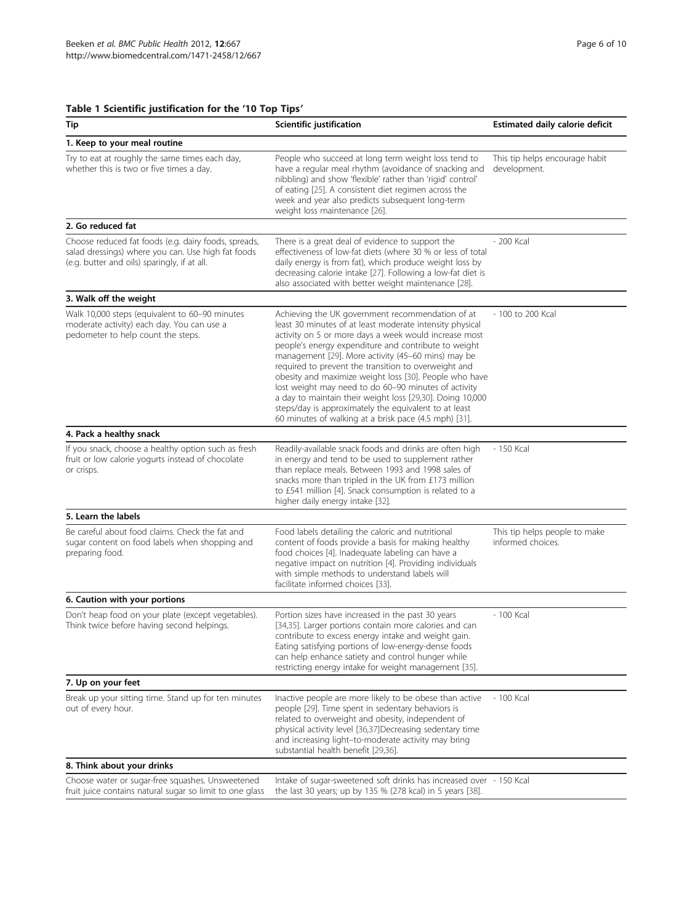<span id="page-5-0"></span>

|  |  |  | Table 1 Scientific justification for the '10 Top Tips' |  |  |  |  |  |
|--|--|--|--------------------------------------------------------|--|--|--|--|--|
|--|--|--|--------------------------------------------------------|--|--|--|--|--|

| <b>Tip</b>                                                                                                                                                 | Scientific justification                                                                                                                                                                                                                                                                                                                                                                                                                                                                                                                                                                                                                     | Estimated daily calorie deficit                    |
|------------------------------------------------------------------------------------------------------------------------------------------------------------|----------------------------------------------------------------------------------------------------------------------------------------------------------------------------------------------------------------------------------------------------------------------------------------------------------------------------------------------------------------------------------------------------------------------------------------------------------------------------------------------------------------------------------------------------------------------------------------------------------------------------------------------|----------------------------------------------------|
| 1. Keep to your meal routine                                                                                                                               |                                                                                                                                                                                                                                                                                                                                                                                                                                                                                                                                                                                                                                              |                                                    |
| Try to eat at roughly the same times each day,<br>whether this is two or five times a day.                                                                 | People who succeed at long term weight loss tend to<br>have a regular meal rhythm (avoidance of snacking and<br>nibbling) and show 'flexible' rather than 'rigid' control'<br>of eating [25]. A consistent diet regimen across the<br>week and year also predicts subsequent long-term<br>weight loss maintenance [26].                                                                                                                                                                                                                                                                                                                      | This tip helps encourage habit<br>development.     |
| 2. Go reduced fat                                                                                                                                          |                                                                                                                                                                                                                                                                                                                                                                                                                                                                                                                                                                                                                                              |                                                    |
| Choose reduced fat foods (e.g. dairy foods, spreads,<br>salad dressings) where you can. Use high fat foods<br>(e.g. butter and oils) sparingly, if at all. | There is a great deal of evidence to support the<br>effectiveness of low-fat diets (where 30 % or less of total<br>daily energy is from fat), which produce weight loss by<br>decreasing calorie intake [27]. Following a low-fat diet is<br>also associated with better weight maintenance [28].                                                                                                                                                                                                                                                                                                                                            | - 200 Kcal                                         |
| 3. Walk off the weight                                                                                                                                     |                                                                                                                                                                                                                                                                                                                                                                                                                                                                                                                                                                                                                                              |                                                    |
| Walk 10,000 steps (equivalent to 60-90 minutes<br>moderate activity) each day. You can use a<br>pedometer to help count the steps.                         | Achieving the UK government recommendation of at<br>least 30 minutes of at least moderate intensity physical<br>activity on 5 or more days a week would increase most<br>people's energy expenditure and contribute to weight<br>management [29]. More activity (45-60 mins) may be<br>required to prevent the transition to overweight and<br>obesity and maximize weight loss [30]. People who have<br>lost weight may need to do 60-90 minutes of activity<br>a day to maintain their weight loss [29,30]. Doing 10,000<br>steps/day is approximately the equivalent to at least<br>60 minutes of walking at a brisk pace (4.5 mph) [31]. | - 100 to 200 Kcal                                  |
| 4. Pack a healthy snack                                                                                                                                    |                                                                                                                                                                                                                                                                                                                                                                                                                                                                                                                                                                                                                                              |                                                    |
| If you snack, choose a healthy option such as fresh<br>fruit or low calorie yogurts instead of chocolate<br>or crisps.                                     | Readily-available snack foods and drinks are often high<br>in energy and tend to be used to supplement rather<br>than replace meals. Between 1993 and 1998 sales of<br>snacks more than tripled in the UK from £173 million<br>to £541 million [4]. Snack consumption is related to a<br>higher daily energy intake [32].                                                                                                                                                                                                                                                                                                                    | - 150 Kcal                                         |
| 5. Learn the labels                                                                                                                                        |                                                                                                                                                                                                                                                                                                                                                                                                                                                                                                                                                                                                                                              |                                                    |
| Be careful about food claims. Check the fat and<br>sugar content on food labels when shopping and<br>preparing food.                                       | Food labels detailing the caloric and nutritional<br>content of foods provide a basis for making healthy<br>food choices [4]. Inadequate labeling can have a<br>negative impact on nutrition [4]. Providing individuals<br>with simple methods to understand labels will<br>facilitate informed choices [33].                                                                                                                                                                                                                                                                                                                                | This tip helps people to make<br>informed choices. |
| 6. Caution with your portions                                                                                                                              |                                                                                                                                                                                                                                                                                                                                                                                                                                                                                                                                                                                                                                              |                                                    |
| Don't heap food on your plate (except vegetables).<br>Think twice before having second helpings.                                                           | Portion sizes have increased in the past 30 years<br>[34,35]. Larger portions contain more calories and can<br>contribute to excess energy intake and weight gain.<br>Eating satisfying portions of low-energy-dense foods<br>can help enhance satiety and control hunger while<br>restricting energy intake for weight management [35].                                                                                                                                                                                                                                                                                                     | - 100 Kcal                                         |
| 7. Up on your feet                                                                                                                                         |                                                                                                                                                                                                                                                                                                                                                                                                                                                                                                                                                                                                                                              |                                                    |
| Break up your sitting time. Stand up for ten minutes<br>out of every hour.                                                                                 | Inactive people are more likely to be obese than active<br>people [29]. Time spent in sedentary behaviors is<br>related to overweight and obesity, independent of<br>physical activity level [36,37]Decreasing sedentary time<br>and increasing light-to-moderate activity may bring<br>substantial health benefit [29,36].                                                                                                                                                                                                                                                                                                                  | - 100 Kcal                                         |
| 8. Think about your drinks                                                                                                                                 |                                                                                                                                                                                                                                                                                                                                                                                                                                                                                                                                                                                                                                              |                                                    |
| Choose water or sugar-free squashes. Unsweetened<br>fruit juice contains natural sugar so limit to one glass                                               | Intake of sugar-sweetened soft drinks has increased over - 150 Kcal<br>the last 30 years; up by 135 % (278 kcal) in 5 years [38].                                                                                                                                                                                                                                                                                                                                                                                                                                                                                                            |                                                    |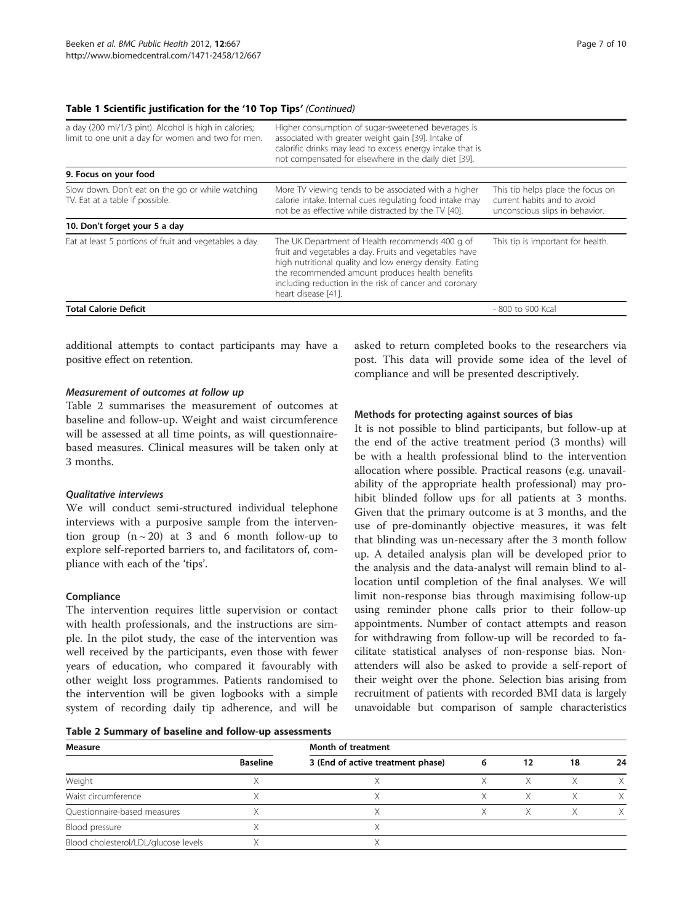#### Table 1 Scientific justification for the '10 Top Tips' (Continued)

| a day (200 ml/1/3 pint). Alcohol is high in calories;<br>limit to one unit a day for women and two for men. | Higher consumption of sugar-sweetened beverages is<br>associated with greater weight gain [39]. Intake of<br>calorific drinks may lead to excess energy intake that is<br>not compensated for elsewhere in the daily diet [39].                                                                          |                                                                                                    |
|-------------------------------------------------------------------------------------------------------------|----------------------------------------------------------------------------------------------------------------------------------------------------------------------------------------------------------------------------------------------------------------------------------------------------------|----------------------------------------------------------------------------------------------------|
| 9. Focus on your food                                                                                       |                                                                                                                                                                                                                                                                                                          |                                                                                                    |
| Slow down. Don't eat on the go or while watching<br>TV. Eat at a table if possible.                         | More TV viewing tends to be associated with a higher<br>calorie intake. Internal cues regulating food intake may<br>not be as effective while distracted by the TV [40].                                                                                                                                 | This tip helps place the focus on<br>current habits and to avoid<br>unconscious slips in behavior. |
| 10. Don't forget your 5 a day                                                                               |                                                                                                                                                                                                                                                                                                          |                                                                                                    |
| Eat at least 5 portions of fruit and vegetables a day.                                                      | The UK Department of Health recommends 400 g of<br>fruit and vegetables a day. Fruits and vegetables have<br>high nutritional quality and low energy density. Eating<br>the recommended amount produces health benefits<br>including reduction in the risk of cancer and coronary<br>heart disease [41]. | This tip is important for health.                                                                  |
| <b>Total Calorie Deficit</b>                                                                                |                                                                                                                                                                                                                                                                                                          | - 800 to 900 Kcal                                                                                  |

additional attempts to contact participants may have a positive effect on retention.

#### Measurement of outcomes at follow up

Table 2 summarises the measurement of outcomes at baseline and follow-up. Weight and waist circumference will be assessed at all time points, as will questionnairebased measures. Clinical measures will be taken only at 3 months.

#### Qualitative interviews

We will conduct semi-structured individual telephone interviews with a purposive sample from the intervention group  $(n \sim 20)$  at 3 and 6 month follow-up to explore self-reported barriers to, and facilitators of, compliance with each of the 'tips'.

#### **Compliance**

The intervention requires little supervision or contact with health professionals, and the instructions are simple. In the pilot study, the ease of the intervention was well received by the participants, even those with fewer years of education, who compared it favourably with other weight loss programmes. Patients randomised to the intervention will be given logbooks with a simple system of recording daily tip adherence, and will be asked to return completed books to the researchers via post. This data will provide some idea of the level of compliance and will be presented descriptively.

# Methods for protecting against sources of bias

It is not possible to blind participants, but follow-up at the end of the active treatment period (3 months) will be with a health professional blind to the intervention allocation where possible. Practical reasons (e.g. unavailability of the appropriate health professional) may prohibit blinded follow ups for all patients at 3 months. Given that the primary outcome is at 3 months, and the use of pre-dominantly objective measures, it was felt that blinding was un-necessary after the 3 month follow up. A detailed analysis plan will be developed prior to the analysis and the data-analyst will remain blind to allocation until completion of the final analyses. We will limit non-response bias through maximising follow-up using reminder phone calls prior to their follow-up appointments. Number of contact attempts and reason for withdrawing from follow-up will be recorded to facilitate statistical analyses of non-response bias. Nonattenders will also be asked to provide a self-report of their weight over the phone. Selection bias arising from recruitment of patients with recorded BMI data is largely unavoidable but comparison of sample characteristics

Table 2 Summary of baseline and follow-up assessments

| Measure                              |                 | Month of treatment                |   |    |    |    |  |
|--------------------------------------|-----------------|-----------------------------------|---|----|----|----|--|
|                                      | <b>Baseline</b> | 3 (End of active treatment phase) | 6 | 12 | 18 | 24 |  |
| Weight                               |                 |                                   |   |    |    |    |  |
| Waist circumference                  |                 |                                   |   |    |    |    |  |
| Questionnaire-based measures         |                 |                                   |   |    |    |    |  |
| Blood pressure                       |                 |                                   |   |    |    |    |  |
| Blood cholesterol/LDL/glucose levels |                 |                                   |   |    |    |    |  |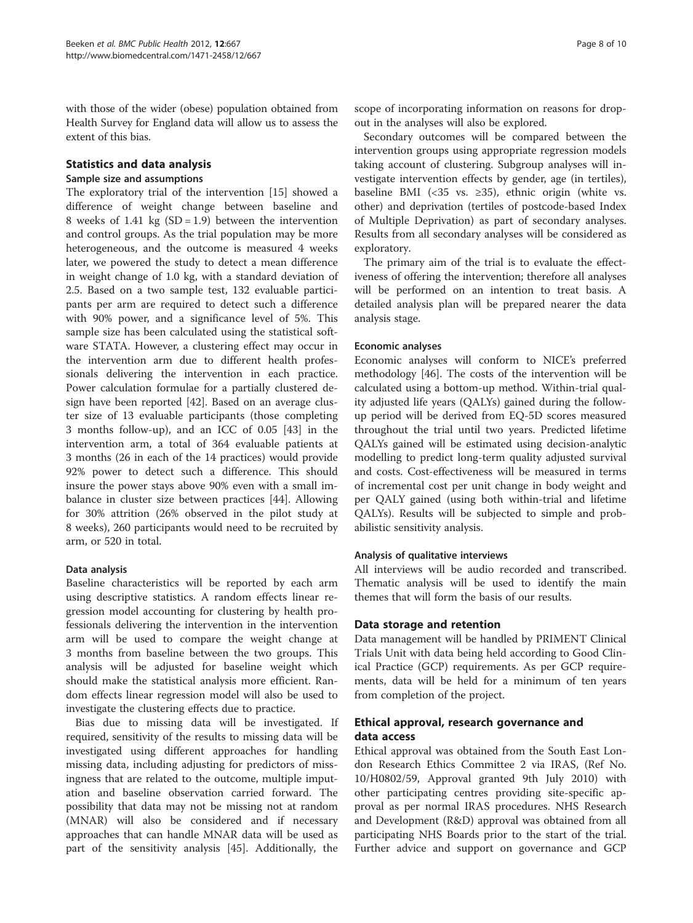with those of the wider (obese) population obtained from Health Survey for England data will allow us to assess the extent of this bias.

# Statistics and data analysis

# Sample size and assumptions

The exploratory trial of the intervention [\[15](#page-9-0)] showed a difference of weight change between baseline and 8 weeks of 1.41 kg  $(SD = 1.9)$  between the intervention and control groups. As the trial population may be more heterogeneous, and the outcome is measured 4 weeks later, we powered the study to detect a mean difference in weight change of 1.0 kg, with a standard deviation of 2.5. Based on a two sample test, 132 evaluable participants per arm are required to detect such a difference with 90% power, and a significance level of 5%. This sample size has been calculated using the statistical software STATA. However, a clustering effect may occur in the intervention arm due to different health professionals delivering the intervention in each practice. Power calculation formulae for a partially clustered design have been reported [\[42](#page-9-0)]. Based on an average cluster size of 13 evaluable participants (those completing 3 months follow-up), and an ICC of 0.05 [[43](#page-9-0)] in the intervention arm, a total of 364 evaluable patients at 3 months (26 in each of the 14 practices) would provide 92% power to detect such a difference. This should insure the power stays above 90% even with a small imbalance in cluster size between practices [[44\]](#page-9-0). Allowing for 30% attrition (26% observed in the pilot study at 8 weeks), 260 participants would need to be recruited by arm, or 520 in total.

# Data analysis

Baseline characteristics will be reported by each arm using descriptive statistics. A random effects linear regression model accounting for clustering by health professionals delivering the intervention in the intervention arm will be used to compare the weight change at 3 months from baseline between the two groups. This analysis will be adjusted for baseline weight which should make the statistical analysis more efficient. Random effects linear regression model will also be used to investigate the clustering effects due to practice.

Bias due to missing data will be investigated. If required, sensitivity of the results to missing data will be investigated using different approaches for handling missing data, including adjusting for predictors of missingness that are related to the outcome, multiple imputation and baseline observation carried forward. The possibility that data may not be missing not at random (MNAR) will also be considered and if necessary approaches that can handle MNAR data will be used as part of the sensitivity analysis [\[45](#page-9-0)]. Additionally, the scope of incorporating information on reasons for dropout in the analyses will also be explored.

Secondary outcomes will be compared between the intervention groups using appropriate regression models taking account of clustering. Subgroup analyses will investigate intervention effects by gender, age (in tertiles), baseline BMI (<35 vs. ≥35), ethnic origin (white vs. other) and deprivation (tertiles of postcode-based Index of Multiple Deprivation) as part of secondary analyses. Results from all secondary analyses will be considered as exploratory.

The primary aim of the trial is to evaluate the effectiveness of offering the intervention; therefore all analyses will be performed on an intention to treat basis. A detailed analysis plan will be prepared nearer the data analysis stage.

# Economic analyses

Economic analyses will conform to NICE's preferred methodology [[46\]](#page-9-0). The costs of the intervention will be calculated using a bottom-up method. Within-trial quality adjusted life years (QALYs) gained during the followup period will be derived from EQ-5D scores measured throughout the trial until two years. Predicted lifetime QALYs gained will be estimated using decision-analytic modelling to predict long-term quality adjusted survival and costs. Cost-effectiveness will be measured in terms of incremental cost per unit change in body weight and per QALY gained (using both within-trial and lifetime QALYs). Results will be subjected to simple and probabilistic sensitivity analysis.

# Analysis of qualitative interviews

All interviews will be audio recorded and transcribed. Thematic analysis will be used to identify the main themes that will form the basis of our results.

# Data storage and retention

Data management will be handled by PRIMENT Clinical Trials Unit with data being held according to Good Clinical Practice (GCP) requirements. As per GCP requirements, data will be held for a minimum of ten years from completion of the project.

# Ethical approval, research governance and data access

Ethical approval was obtained from the South East London Research Ethics Committee 2 via IRAS, (Ref No. 10/H0802/59, Approval granted 9th July 2010) with other participating centres providing site-specific approval as per normal IRAS procedures. NHS Research and Development (R&D) approval was obtained from all participating NHS Boards prior to the start of the trial. Further advice and support on governance and GCP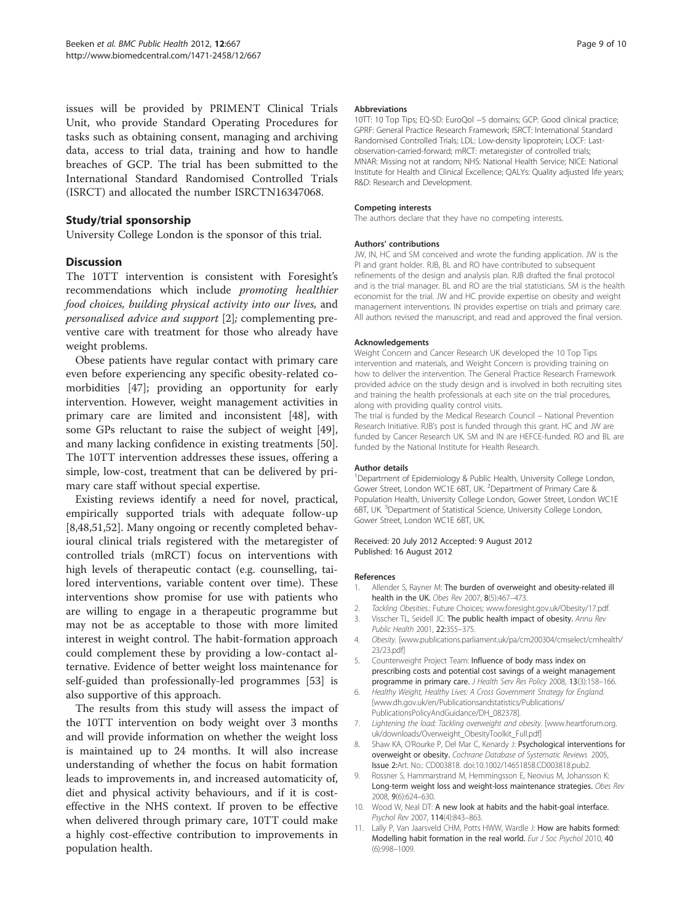<span id="page-8-0"></span>issues will be provided by PRIMENT Clinical Trials Unit, who provide Standard Operating Procedures for tasks such as obtaining consent, managing and archiving data, access to trial data, training and how to handle breaches of GCP. The trial has been submitted to the International Standard Randomised Controlled Trials (ISRCT) and allocated the number ISRCTN16347068.

# Study/trial sponsorship

University College London is the sponsor of this trial.

# **Discussion**

The 10TT intervention is consistent with Foresight's recommendations which include promoting healthier food choices, building physical activity into our lives, and personalised advice and support [2]; complementing preventive care with treatment for those who already have weight problems.

Obese patients have regular contact with primary care even before experiencing any specific obesity-related comorbidities [\[47\]](#page-9-0); providing an opportunity for early intervention. However, weight management activities in primary care are limited and inconsistent [\[48](#page-9-0)], with some GPs reluctant to raise the subject of weight [\[49](#page-9-0)], and many lacking confidence in existing treatments [\[50](#page-9-0)]. The 10TT intervention addresses these issues, offering a simple, low-cost, treatment that can be delivered by primary care staff without special expertise.

Existing reviews identify a need for novel, practical, empirically supported trials with adequate follow-up [8,[48,51,52\]](#page-9-0). Many ongoing or recently completed behavioural clinical trials registered with the metaregister of controlled trials (mRCT) focus on interventions with high levels of therapeutic contact (e.g. counselling, tailored interventions, variable content over time). These interventions show promise for use with patients who are willing to engage in a therapeutic programme but may not be as acceptable to those with more limited interest in weight control. The habit-formation approach could complement these by providing a low-contact alternative. Evidence of better weight loss maintenance for self-guided than professionally-led programmes [\[53\]](#page-9-0) is also supportive of this approach.

The results from this study will assess the impact of the 10TT intervention on body weight over 3 months and will provide information on whether the weight loss is maintained up to 24 months. It will also increase understanding of whether the focus on habit formation leads to improvements in, and increased automaticity of, diet and physical activity behaviours, and if it is costeffective in the NHS context. If proven to be effective when delivered through primary care, 10TT could make a highly cost-effective contribution to improvements in population health.

#### **Abbreviations**

10TT: 10 Top Tips; EQ-5D: EuroQol −5 domains; GCP: Good clinical practice; GPRF: General Practice Research Framework; ISRCT: International Standard Randomised Controlled Trials; LDL: Low-density lipoprotein; LOCF: Lastobservation-carried-forward; mRCT: metaregister of controlled trials; MNAR: Missing not at random; NHS: National Health Service; NICE: National Institute for Health and Clinical Excellence; QALYs: Quality adjusted life years; R&D: Research and Development.

#### Competing interests

The authors declare that they have no competing interests.

#### Authors' contributions

JW, IN, HC and SM conceived and wrote the funding application. JW is the PI and grant holder. RJB, BL and RO have contributed to subsequent refinements of the design and analysis plan. RJB drafted the final protocol and is the trial manager. BL and RO are the trial statisticians. SM is the health economist for the trial. JW and HC provide expertise on obesity and weight management interventions. IN provides expertise on trials and primary care. All authors revised the manuscript, and read and approved the final version.

#### Acknowledgements

Weight Concern and Cancer Research UK developed the 10 Top Tips intervention and materials, and Weight Concern is providing training on how to deliver the intervention. The General Practice Research Framework provided advice on the study design and is involved in both recruiting sites and training the health professionals at each site on the trial procedures, along with providing quality control visits.

The trial is funded by the Medical Research Council – National Prevention Research Initiative. RJB's post is funded through this grant. HC and JW are funded by Cancer Research UK. SM and IN are HEFCE-funded. RO and BL are funded by the National Institute for Health Research.

#### Author details

<sup>1</sup>Department of Epidemiology & Public Health, University College London, Gower Street, London WC1E 6BT, UK. <sup>2</sup>Department of Primary Care & Population Health, University College London, Gower Street, London WC1E 6BT, UK. <sup>3</sup>Department of Statistical Science, University College London, Gower Street, London WC1E 6BT, UK.

#### Received: 20 July 2012 Accepted: 9 August 2012 Published: 16 August 2012

#### References

- 1. Allender S, Rayner M: The burden of overweight and obesity-related ill health in the UK. Obes Rev 2007, 8(5):467–473.
- 2. Tackling Obesities.: Future Choices; [www.foresight.gov.uk/Obesity/17.pdf](http://www.foresight.gov.uk/Obesity/17.pdf). 3. Visscher TL, Seidell JC: The public health impact of obesity. Annu Rev Public Health 2001, 22:355–375.
- 4. Obesity. [[www.publications.parliament.uk/pa/cm200304/cmselect/cmhealth/](http://www.publications.parliament.uk/pa/cm200304/cmselect/cmhealth/23/23.pdf) [23/23.pdf\]](http://www.publications.parliament.uk/pa/cm200304/cmselect/cmhealth/23/23.pdf)
- 5. Counterweight Project Team: Influence of body mass index on prescribing costs and potential cost savings of a weight management programme in primary care. J Health Serv Res Policy 2008, 13(3):158-166.
- 6. Healthy Weight, Healthy Lives: A Cross Government Strategy for England. [[www.dh.gov.uk/en/Publicationsandstatistics/Publications/](http://www.dh.gov.uk/en/Publicationsandstatistics/Publications/PublicationsPolicyAndGuidance/DH_082378) [PublicationsPolicyAndGuidance/DH\\_082378\]](http://www.dh.gov.uk/en/Publicationsandstatistics/Publications/PublicationsPolicyAndGuidance/DH_082378).
- 7. Lightening the load: Tackling overweight and obesity. [\[www.heartforum.org.](http://www.heartforum.org.uk/downloads/Overweight_ObesityToolkit_Full.pdf) [uk/downloads/Overweight\\_ObesityToolkit\\_Full.pdf](http://www.heartforum.org.uk/downloads/Overweight_ObesityToolkit_Full.pdf)]
- 8. Shaw KA, O'Rourke P, Del Mar C, Kenardy J: Psychological interventions for overweight or obesity. Cochrane Database of Systematic Reviews 2005, Issue 2:Art. No.: CD003818. doi:[10.1002/14651858.CD003818.pub2.](http://dx.doi.org/10.1002/14651858.CD003818.pub2)
- 9. Rossner S, Hammarstrand M, Hemmingsson E, Neovius M, Johansson K: Long-term weight loss and weight-loss maintenance strategies. Obes Rev 2008, 9(6):624–630.
- 10. Wood W, Neal DT: A new look at habits and the habit-goal interface. Psychol Rev 2007, 114(4):843–863.
- 11. Lally P, Van Jaarsveld CHM, Potts HWW, Wardle J: How are habits formed: Modelling habit formation in the real world. Eur J Soc Psychol 2010, 40 (6):998–1009.